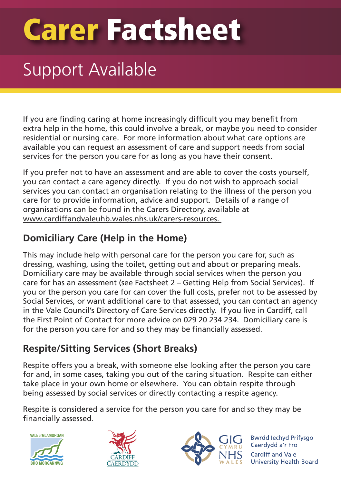# **Carer Factsheet**

### Support Available

If you are finding caring at home increasingly difficult you may benefit from extra help in the home, this could involve a break, or maybe you need to consider residential or nursing care. For more information about what care options are available you can request an assessment of care and support needs from social services for the person you care for as long as you have their consent.

If you prefer not to have an assessment and are able to cover the costs yourself, you can contact a care agency directly. If you do not wish to approach social services you can contact an organisation relating to the illness of the person you care for to provide information, advice and support. Details of a range of organisations can be found in the Carers Directory, available at www.cardiffandvaleuhb.wales.nhs.uk/carers-resources.

### **Domiciliary Care (Help in the Home)**

This may include help with personal care for the person you care for, such as dressing, washing, using the toilet, getting out and about or preparing meals. Domiciliary care may be available through social services when the person you care for has an assessment (see Factsheet 2 – Getting Help from Social Services). If you or the person you care for can cover the full costs, prefer not to be assessed by Social Services, or want additional care to that assessed, you can contact an agency in the Vale Council's Directory of Care Services directly. If you live in Cardiff, call the First Point of Contact for more advice on 029 20 234 234. Domiciliary care is for the person you care for and so they may be financially assessed.

### **Respite/Sitting Services (Short Breaks)**

Respite offers you a break, with someone else looking after the person you care for and, in some cases, taking you out of the caring situation. Respite can either take place in your own home or elsewhere. You can obtain respite through being assessed by social services or directly contacting a respite agency.

Respite is considered a service for the person you care for and so they may be financially assessed.







**Bwrdd lechyd Prifysgol** Caerdydd a'r Fro Cardiff and Vale University Health Board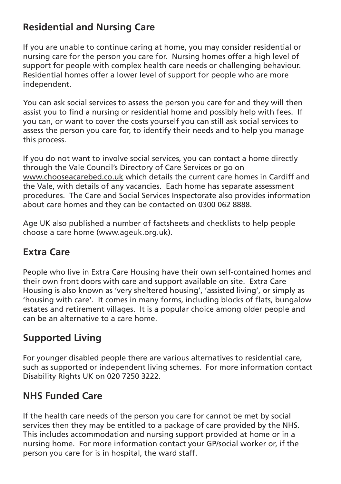### **Residential and Nursing Care**

If you are unable to continue caring at home, you may consider residential or nursing care for the person you care for. Nursing homes offer a high level of support for people with complex health care needs or challenging behaviour. Residential homes offer a lower level of support for people who are more independent.

You can ask social services to assess the person you care for and they will then assist you to find a nursing or residential home and possibly help with fees. If you can, or want to cover the costs yourself you can still ask social services to assess the person you care for, to identify their needs and to help you manage this process.

If you do not want to involve social services, you can contact a home directly through the Vale Council's Directory of Care Services or go on www.chooseacarebed.co.uk which details the current care homes in Cardiff and the Vale, with details of any vacancies. Each home has separate assessment procedures. The Care and Social Services Inspectorate also provides information about care homes and they can be contacted on 0300 062 8888.

Age UK also published a number of factsheets and checklists to help people choose a care home (www.ageuk.org.uk).

### **Extra Care**

People who live in Extra Care Housing have their own self-contained homes and their own front doors with care and support available on site. Extra Care Housing is also known as 'very sheltered housing', 'assisted living', or simply as 'housing with care'. It comes in many forms, including blocks of flats, bungalow estates and retirement villages. It is a popular choice among older people and can be an alternative to a care home.

### **Supported Living**

For younger disabled people there are various alternatives to residential care, such as supported or independent living schemes. For more information contact Disability Rights UK on 020 7250 3222.

### **NHS Funded Care**

If the health care needs of the person you care for cannot be met by social services then they may be entitled to a package of care provided by the NHS. This includes accommodation and nursing support provided at home or in a nursing home. For more information contact your GP/social worker or, if the person you care for is in hospital, the ward staff.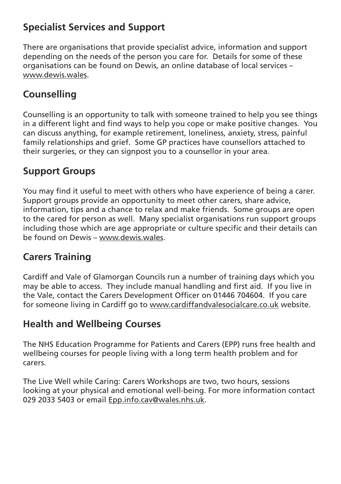### **Specialist Services and Support**

There are organisations that provide specialist advice, information and support depending on the needs of the person you care for. Details for some of these organisations can be found on Dewis, an online database of local services – www.dewis.wales.

### **Counselling**

Counselling is an opportunity to talk with someone trained to help you see things in a different light and find ways to help you cope or make positive changes. You can discuss anything, for example retirement, loneliness, anxiety, stress, painful family relationships and grief. Some GP practices have counsellors attached to their surgeries, or they can signpost you to a counsellor in your area.

### **Support Groups**

You may find it useful to meet with others who have experience of being a carer. Support groups provide an opportunity to meet other carers, share advice, information, tips and a chance to relax and make friends. Some groups are open to the cared for person as well. Many specialist organisations run support groups including those which are age appropriate or culture specific and their details can be found on Dewis – www.dewis.wales.

### **Carers Training**

Cardiff and Vale of Glamorgan Councils run a number of training days which you may be able to access. They include manual handling and first aid. If you live in the Vale, contact the Carers Development Officer on 01446 704604. If you care for someone living in Cardiff go to www.cardiffandvalesocialcare.co.uk website.

### **Health and Wellbeing Courses**

The NHS Education Programme for Patients and Carers (EPP) runs free health and wellbeing courses for people living with a long term health problem and for carers.

The Live Well while Caring: Carers Workshops are two, two hours, sessions looking at your physical and emotional well-being. For more information contact 029 2033 5403 or email Epp.info.cav@wales.nhs.uk.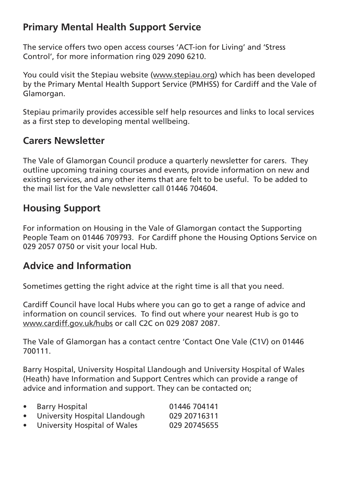### **Primary Mental Health Support Service**

The service offers two open access courses 'ACT-ion for Living' and 'Stress Control', for more information ring 029 2090 6210.

You could visit the Stepiau website (www.stepiau.org) which has been developed by the Primary Mental Health Support Service (PMHSS) for Cardiff and the Vale of Glamorgan.

Stepiau primarily provides accessible self help resources and links to local services as a first step to developing mental wellbeing.

### **Carers Newsletter**

The Vale of Glamorgan Council produce a quarterly newsletter for carers. They outline upcoming training courses and events, provide information on new and existing services, and any other items that are felt to be useful. To be added to the mail list for the Vale newsletter call 01446 704604.

### **Housing Support**

For information on Housing in the Vale of Glamorgan contact the Supporting People Team on 01446 709793. For Cardiff phone the Housing Options Service on 029 2057 0750 or visit your local Hub.

### **Advice and Information**

Sometimes getting the right advice at the right time is all that you need.

Cardiff Council have local Hubs where you can go to get a range of advice and information on council services. To find out where your nearest Hub is go to www.cardiff.gov.uk/hubs or call C2C on 029 2087 2087.

The Vale of Glamorgan has a contact centre 'Contact One Vale (C1V) on 01446 700111.

Barry Hospital, University Hospital Llandough and University Hospital of Wales (Heath) have Information and Support Centres which can provide a range of advice and information and support. They can be contacted on;

| $\bullet$ | Barry Hospital                | 01446 704141 |
|-----------|-------------------------------|--------------|
| $\bullet$ | University Hospital Llandough | 029 20716311 |
| $\bullet$ | University Hospital of Wales  | 029 20745655 |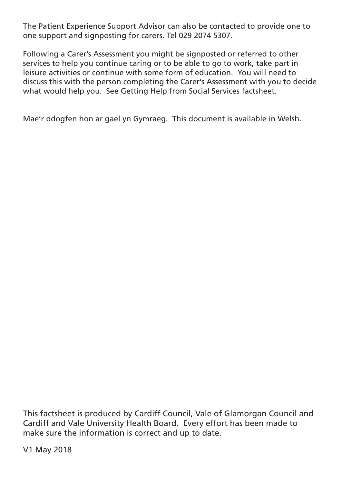The Patient Experience Support Advisor can also be contacted to provide one to one support and signposting for carers. Tel 029 2074 5307.

Following a Carer's Assessment you might be signposted or referred to other services to help you continue caring or to be able to go to work, take part in leisure activities or continue with some form of education. You will need to discuss this with the person completing the Carer's Assessment with you to decide what would help you. See Getting Help from Social Services factsheet.

Mae'r ddogfen hon ar gael yn Gymraeg. This document is available in Welsh.

This factsheet is produced by Cardiff Council, Vale of Glamorgan Council and Cardiff and Vale University Health Board. Every effort has been made to make sure the information is correct and up to date.

V1 May 2018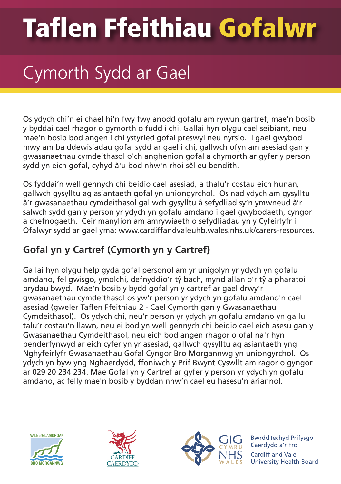## **Taflen Ffeithiau Gofalwr**

### Cymorth Sydd ar Gael

Os ydych chi'n ei chael hi'n fwy fwy anodd gofalu am rywun gartref, mae'n bosib y byddai cael rhagor o gymorth o fudd i chi. Gallai hyn olygu cael seibiant, neu mae'n bosib bod angen i chi ystyried gofal preswyl neu nyrsio. I gael gwybod mwy am ba ddewisiadau gofal sydd ar gael i chi, gallwch ofyn am asesiad gan y gwasanaethau cymdeithasol o'ch anghenion gofal a chymorth ar gyfer y person sydd yn eich gofal, cyhyd â'u bod nhw'n rhoi sêl eu bendith.

Os fyddai'n well gennych chi beidio cael asesiad, a thalu'r costau eich hunan, gallwch gysylltu ag asiantaeth gofal yn uniongyrchol. Os nad ydych am gysylltu â'r gwasanaethau cymdeithasol gallwch gysylltu â sefydliad sy'n ymwneud â'r salwch sydd gan y person yr ydych yn gofalu amdano i gael gwybodaeth, cyngor a chefnogaeth. Ceir manylion am amrywiaeth o sefydliadau yn y Cyfeirlyfr i Ofalwyr sydd ar gael yma: www.cardiffandvaleuhb.wales.nhs.uk/carers-resources.

### **Gofal yn y Cartref (Cymorth yn y Cartref)**

Gallai hyn olygu help gyda gofal personol am yr unigolyn yr ydych yn gofalu amdano, fel gwisgo, ymolchi, defnyddio'r tŷ bach, mynd allan o'r tŷ a pharatoi prydau bwyd. Mae'n bosib y bydd gofal yn y cartref ar gael drwy'r gwasanaethau cymdeithasol os yw'r person yr ydych yn gofalu amdano'n cael asesiad (gweler Taflen Ffeithiau 2 - Cael Cymorth gan y Gwasanaethau Cymdeithasol). Os ydych chi, neu'r person yr ydych yn gofalu amdano yn gallu talu'r costau'n llawn, neu ei bod yn well gennych chi beidio cael eich asesu gan y Gwasanaethau Cymdeithasol, neu eich bod angen rhagor o ofal na'r hyn benderfynwyd ar eich cyfer yn yr asesiad, gallwch gysylltu ag asiantaeth yng Nghyfeirlyfr Gwasanaethau Gofal Cyngor Bro Morgannwg yn uniongyrchol. Os ydych yn byw yng Nghaerdydd, ffoniwch y Prif Bwynt Cyswllt am ragor o gyngor ar 029 20 234 234. Mae Gofal yn y Cartref ar gyfer y person yr ydych yn gofalu amdano, ac felly mae'n bosib y byddan nhw'n cael eu hasesu'n ariannol.







**Bwrdd lechyd Prifysgol** Caerdydd a'r Fro Cardiff and Vale University Health Board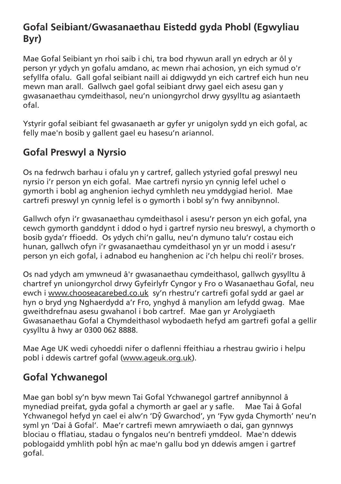### **Gofal Seibiant/Gwasanaethau Eistedd gyda Phobl (Egwyliau Byr)**

Mae Gofal Seibiant yn rhoi saib i chi, tra bod rhywun arall yn edrych ar ôl y person yr ydych yn gofalu amdano, ac mewn rhai achosion, yn eich symud o'r sefyllfa ofalu. Gall gofal seibiant naill ai ddigwydd yn eich cartref eich hun neu mewn man arall. Gallwch gael gofal seibiant drwy gael eich asesu gan y gwasanaethau cymdeithasol, neu'n uniongyrchol drwy gysylltu ag asiantaeth ofal.

Ystyrir gofal seibiant fel gwasanaeth ar gyfer yr unigolyn sydd yn eich gofal, ac felly mae'n bosib y gallent gael eu hasesu'n ariannol.

### **Gofal Preswyl a Nyrsio**

Os na fedrwch barhau i ofalu yn y cartref, gallech ystyried gofal preswyl neu nyrsio i'r person yn eich gofal. Mae cartrefi nyrsio yn cynnig lefel uchel o gymorth i bobl ag anghenion iechyd cymhleth neu ymddygiad heriol. Mae cartrefi preswyl yn cynnig lefel is o gymorth i bobl sy'n fwy annibynnol.

Gallwch ofyn i'r gwasanaethau cymdeithasol i asesu'r person yn eich gofal, yna cewch gymorth ganddynt i ddod o hyd i gartref nyrsio neu breswyl, a chymorth o bosib gyda'r ffioedd. Os ydych chi'n gallu, neu'n dymuno talu'r costau eich hunan, gallwch ofyn i'r gwasanaethau cymdeithasol yn yr un modd i asesu'r person yn eich gofal, i adnabod eu hanghenion ac i'ch helpu chi reoli'r broses.

Os nad ydych am ymwneud â'r gwasanaethau cymdeithasol, gallwch gysylltu â chartref yn uniongyrchol drwy Gyfeirlyfr Cyngor y Fro o Wasanaethau Gofal, neu ewch i www.chooseacarebed.co.uk sy'n rhestru'r cartrefi gofal sydd ar gael ar hyn o bryd yng Nghaerdydd a'r Fro, ynghyd â manylion am lefydd gwag. Mae gweithdrefnau asesu gwahanol i bob cartref. Mae gan yr Arolygiaeth Gwasanaethau Gofal a Chymdeithasol wybodaeth hefyd am gartrefi gofal a gellir cysylltu â hwy ar 0300 062 8888.

Mae Age UK wedi cyhoeddi nifer o daflenni ffeithiau a rhestrau gwirio i helpu pobl i ddewis cartref gofal (www.ageuk.org.uk).

### **Gofal Ychwanegol**

Mae gan bobl sy'n byw mewn Tai Gofal Ychwanegol gartref annibynnol â mynediad preifat, gyda gofal a chymorth ar gael ar y safle. Mae Tai â Gofal Ychwanegol hefyd yn cael ei alw'n 'Dŷ Gwarchod', yn 'Fyw gyda Chymorth' neu'n syml yn 'Dai â Gofal'. Mae'r cartrefi mewn amrywiaeth o dai, gan gynnwys blociau o fflatiau, stadau o fyngalos neu'n bentrefi ymddeol. Mae'n ddewis poblogaidd ymhlith pobl hŷn ac mae'n gallu bod yn ddewis amgen i gartref gofal.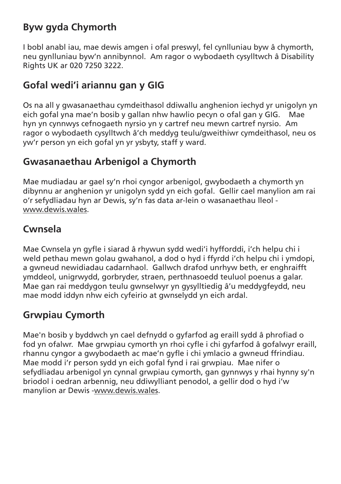### **Byw gyda Chymorth**

I bobl anabl iau, mae dewis amgen i ofal preswyl, fel cynlluniau byw â chymorth, neu gynlluniau byw'n annibynnol. Am ragor o wybodaeth cysylltwch â Disability Rights UK ar 020 7250 3222.

### **Gofal wedi'i ariannu gan y GIG**

Os na all y gwasanaethau cymdeithasol ddiwallu anghenion iechyd yr unigolyn yn eich gofal yna mae'n bosib y gallan nhw hawlio pecyn o ofal gan y GIG. Mae hyn yn cynnwys cefnogaeth nyrsio yn y cartref neu mewn cartref nyrsio. Am ragor o wybodaeth cysylltwch â'ch meddyg teulu/gweithiwr cymdeithasol, neu os yw'r person yn eich gofal yn yr ysbyty, staff y ward.

### **Gwasanaethau Arbenigol a Chymorth**

Mae mudiadau ar gael sy'n rhoi cyngor arbenigol, gwybodaeth a chymorth yn dibynnu ar anghenion yr unigolyn sydd yn eich gofal. Gellir cael manylion am rai o'r sefydliadau hyn ar Dewis, sy'n fas data ar-lein o wasanaethau lleol www.dewis.wales.

### **Cwnsela**

Mae Cwnsela yn gyfle i siarad â rhywun sydd wedi'i hyfforddi, i'ch helpu chi i weld pethau mewn golau gwahanol, a dod o hyd i ffyrdd i'ch helpu chi i ymdopi, a gwneud newidiadau cadarnhaol. Gallwch drafod unrhyw beth, er enghraifft ymddeol, unigrwydd, gorbryder, straen, perthnasoedd teuluol poenus a galar. Mae gan rai meddygon teulu gwnselwyr yn gysylltiedig â'u meddygfeydd, neu mae modd iddyn nhw eich cyfeirio at gwnselydd yn eich ardal.

### **Grwpiau Cymorth**

Mae'n bosib y byddwch yn cael defnydd o gyfarfod ag eraill sydd â phrofiad o fod yn ofalwr. Mae grwpiau cymorth yn rhoi cyfle i chi gyfarfod â gofalwyr eraill, rhannu cyngor a gwybodaeth ac mae'n gyfle i chi ymlacio a gwneud ffrindiau. Mae modd i'r person sydd yn eich gofal fynd i rai grwpiau. Mae nifer o sefydliadau arbenigol yn cynnal grwpiau cymorth, gan gynnwys y rhai hynny sy'n briodol i oedran arbennig, neu ddiwylliant penodol, a gellir dod o hyd i'w manylion ar Dewis -www.dewis.wales.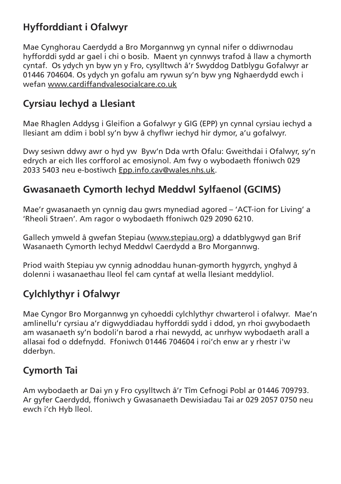### **Hyfforddiant i Ofalwyr**

Mae Cynghorau Caerdydd a Bro Morgannwg yn cynnal nifer o ddiwrnodau hyfforddi sydd ar gael i chi o bosib. Maent yn cynnwys trafod â llaw a chymorth cyntaf. Os ydych yn byw yn y Fro, cysylltwch â'r Swyddog Datblygu Gofalwyr ar 01446 704604. Os ydych yn gofalu am rywun sy'n byw yng Nghaerdydd ewch i wefan www.cardiffandvalesocialcare.co.uk

### **Cyrsiau Iechyd a Llesiant**

Mae Rhaglen Addysg i Gleifion a Gofalwyr y GIG (EPP) yn cynnal cyrsiau iechyd a llesiant am ddim i bobl sy'n byw â chyflwr iechyd hir dymor, a'u gofalwyr.

Dwy sesiwn ddwy awr o hyd yw Byw'n Dda wrth Ofalu: Gweithdai i Ofalwyr, sy'n edrych ar eich lles corfforol ac emosiynol. Am fwy o wybodaeth ffoniwch 029 2033 5403 neu e-bostiwch Epp.info.cav@wales.nhs.uk.

### **Gwasanaeth Cymorth Iechyd Meddwl Sylfaenol (GCIMS)**

Mae'r gwasanaeth yn cynnig dau gwrs mynediad agored – 'ACT-ion for Living' a 'Rheoli Straen'. Am ragor o wybodaeth ffoniwch 029 2090 6210.

Gallech ymweld â gwefan Stepiau (www.stepiau.org) a ddatblygwyd gan Brif Wasanaeth Cymorth Iechyd Meddwl Caerdydd a Bro Morgannwg.

Priod waith Stepiau yw cynnig adnoddau hunan-gymorth hygyrch, ynghyd â dolenni i wasanaethau lleol fel cam cyntaf at wella llesiant meddyliol.

### **Cylchlythyr i Ofalwyr**

Mae Cyngor Bro Morgannwg yn cyhoeddi cylchlythyr chwarterol i ofalwyr. Mae'n amlinellu'r cyrsiau a'r digwyddiadau hyfforddi sydd i ddod, yn rhoi gwybodaeth am wasanaeth sy'n bodoli'n barod a rhai newydd, ac unrhyw wybodaeth arall a allasai fod o ddefnydd. Ffoniwch 01446 704604 i roi'ch enw ar y rhestr i'w dderbyn.

### **Cymorth Tai**

Am wybodaeth ar Dai yn y Fro cysylltwch â'r Tîm Cefnogi Pobl ar 01446 709793. Ar gyfer Caerdydd, ffoniwch y Gwasanaeth Dewisiadau Tai ar 029 2057 0750 neu ewch i'ch Hyb lleol.